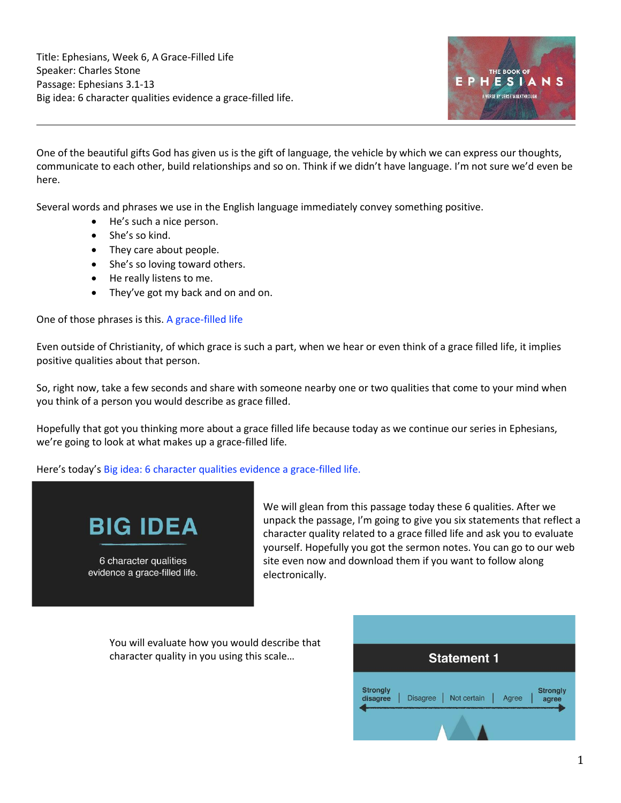Title: Ephesians, Week 6, A Grace-Filled Life Speaker: Charles Stone Passage: Ephesians 3.1-13 Big idea: 6 character qualities evidence a grace-filled life.



One of the beautiful gifts God has given us is the gift of language, the vehicle by which we can express our thoughts, communicate to each other, build relationships and so on. Think if we didn't have language. I'm not sure we'd even be here.

Several words and phrases we use in the English language immediately convey something positive.

- He's such a nice person.
- She's so kind.
- They care about people.
- She's so loving toward others.
- He really listens to me.
- They've got my back and on and on.

One of those phrases is this. A grace-filled life

Even outside of Christianity, of which grace is such a part, when we hear or even think of a grace filled life, it implies positive qualities about that person.

So, right now, take a few seconds and share with someone nearby one or two qualities that come to your mind when you think of a person you would describe as grace filled.

Hopefully that got you thinking more about a grace filled life because today as we continue our series in Ephesians, we're going to look at what makes up a grace-filled life.

Here's today's Big idea: 6 character qualities evidence a grace-filled life.



6 character qualities evidence a grace-filled life. We will glean from this passage today these 6 qualities. After we unpack the passage, I'm going to give you six statements that reflect a character quality related to a grace filled life and ask you to evaluate yourself. Hopefully you got the sermon notes. You can go to our web site even now and download them if you want to follow along electronically.

You will evaluate how you would describe that character quality in you using this scale…

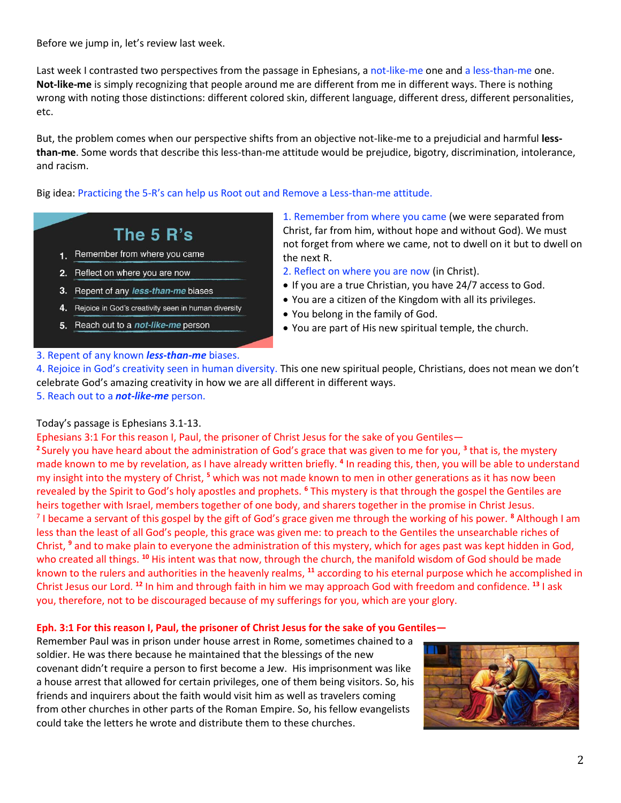Before we jump in, let's review last week.

Last week I contrasted two perspectives from the passage in Ephesians, a not-like-me one and a less-than-me one. **Not-like-me** is simply recognizing that people around me are different from me in different ways. There is nothing wrong with noting those distinctions: different colored skin, different language, different dress, different personalities, etc.

But, the problem comes when our perspective shifts from an objective not-like-me to a prejudicial and harmful **lessthan-me**. Some words that describe this less-than-me attitude would be prejudice, bigotry, discrimination, intolerance, and racism.

Big idea: Practicing the 5-R's can help us Root out and Remove a Less-than-me attitude.

# The 5 R's

- 1. Remember from where you came
- 2. Reflect on where you are now
- 3. Repent of any less-than-me biases
- 4. Rejoice in God's creativity seen in human diversity
- 5. Reach out to a not-like-me person

## 1. Remember from where you came (we were separated from Christ, far from him, without hope and without God). We must not forget from where we came, not to dwell on it but to dwell on the next R.

- 2. Reflect on where you are now (in Christ).
- If you are a true Christian, you have 24/7 access to God.
- You are a citizen of the Kingdom with all its privileges.
- You belong in the family of God.
- You are part of His new spiritual temple, the church.

## 3. Repent of any known *less-than-me* biases.

4. Rejoice in God's creativity seen in human diversity. This one new spiritual people, Christians, does not mean we don't celebrate God's amazing creativity in how we are all different in different ways. 5. Reach out to a *not-like-me* person.

## Today's passage is Ephesians 3.1-13.

Ephesians 3:1 For this reason I, Paul, the prisoner of Christ Jesus for the sake of you Gentiles— **<sup>2</sup>**Surely you have heard about the administration of God's grace that was given to me for you, **<sup>3</sup>** that is, the mystery made known to me by revelation, as I have already written briefly. **<sup>4</sup>** In reading this, then, you will be able to understand my insight into the mystery of Christ, **<sup>5</sup>** which was not made known to men in other generations as it has now been revealed by the Spirit to God's holy apostles and prophets. **<sup>6</sup>** This mystery is that through the gospel the Gentiles are heirs together with Israel, members together of one body, and sharers together in the promise in Christ Jesus. 7 I became a servant of this gospel by the gift of God's grace given me through the working of his power. **<sup>8</sup>** Although I am less than the least of all God's people, this grace was given me: to preach to the Gentiles the unsearchable riches of Christ, **<sup>9</sup>** and to make plain to everyone the administration of this mystery, which for ages past was kept hidden in God, who created all things. **<sup>10</sup>** His intent was that now, through the church, the manifold wisdom of God should be made known to the rulers and authorities in the heavenly realms, **<sup>11</sup>** according to his eternal purpose which he accomplished in Christ Jesus our Lord. **<sup>12</sup>** In him and through faith in him we may approach God with freedom and confidence. **<sup>13</sup>** I ask you, therefore, not to be discouraged because of my sufferings for you, which are your glory.

## **Eph. 3:1 For this reason I, Paul, the prisoner of Christ Jesus for the sake of you Gentiles—**

Remember Paul was in prison under house arrest in Rome, sometimes chained to a soldier. He was there because he maintained that the blessings of the new covenant didn't require a person to first become a Jew. His imprisonment was like a house arrest that allowed for certain privileges, one of them being visitors. So, his friends and inquirers about the faith would visit him as well as travelers coming from other churches in other parts of the Roman Empire. So, his fellow evangelists could take the letters he wrote and distribute them to these churches.

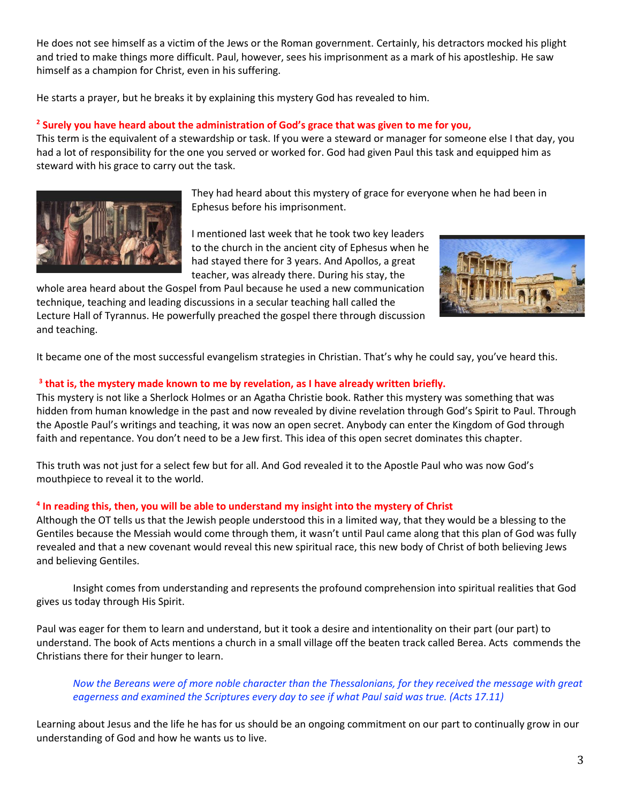He does not see himself as a victim of the Jews or the Roman government. Certainly, his detractors mocked his plight and tried to make things more difficult. Paul, however, sees his imprisonment as a mark of his apostleship. He saw himself as a champion for Christ, even in his suffering.

He starts a prayer, but he breaks it by explaining this mystery God has revealed to him.

## **2 Surely you have heard about the administration of God's grace that was given to me for you,**

This term is the equivalent of a stewardship or task. If you were a steward or manager for someone else I that day, you had a lot of responsibility for the one you served or worked for. God had given Paul this task and equipped him as steward with his grace to carry out the task.



They had heard about this mystery of grace for everyone when he had been in Ephesus before his imprisonment.

I mentioned last week that he took two key leaders to the church in the ancient city of Ephesus when he had stayed there for 3 years. And Apollos, a great teacher, was already there. During his stay, the

whole area heard about the Gospel from Paul because he used a new communication technique, teaching and leading discussions in a secular teaching hall called the Lecture Hall of Tyrannus. He powerfully preached the gospel there through discussion and teaching.



It became one of the most successful evangelism strategies in Christian. That's why he could say, you've heard this.

## **3 that is, the mystery made known to me by revelation, as I have already written briefly.**

This mystery is not like a Sherlock Holmes or an Agatha Christie book. Rather this mystery was something that was hidden from human knowledge in the past and now revealed by divine revelation through God's Spirit to Paul. Through the Apostle Paul's writings and teaching, it was now an open secret. Anybody can enter the Kingdom of God through faith and repentance. You don't need to be a Jew first. This idea of this open secret dominates this chapter.

This truth was not just for a select few but for all. And God revealed it to the Apostle Paul who was now God's mouthpiece to reveal it to the world.

## **4 In reading this, then, you will be able to understand my insight into the mystery of Christ**

Although the OT tells us that the Jewish people understood this in a limited way, that they would be a blessing to the Gentiles because the Messiah would come through them, it wasn't until Paul came along that this plan of God was fully revealed and that a new covenant would reveal this new spiritual race, this new body of Christ of both believing Jews and believing Gentiles.

Insight comes from understanding and represents the profound comprehension into spiritual realities that God gives us today through His Spirit.

Paul was eager for them to learn and understand, but it took a desire and intentionality on their part (our part) to understand. The book of Acts mentions a church in a small village off the beaten track called Berea. Acts commends the Christians there for their hunger to learn.

*Now the Bereans were of more noble character than the Thessalonians, for they received the message with great eagerness and examined the Scriptures every day to see if what Paul said was true. (Acts 17.11)*

Learning about Jesus and the life he has for us should be an ongoing commitment on our part to continually grow in our understanding of God and how he wants us to live.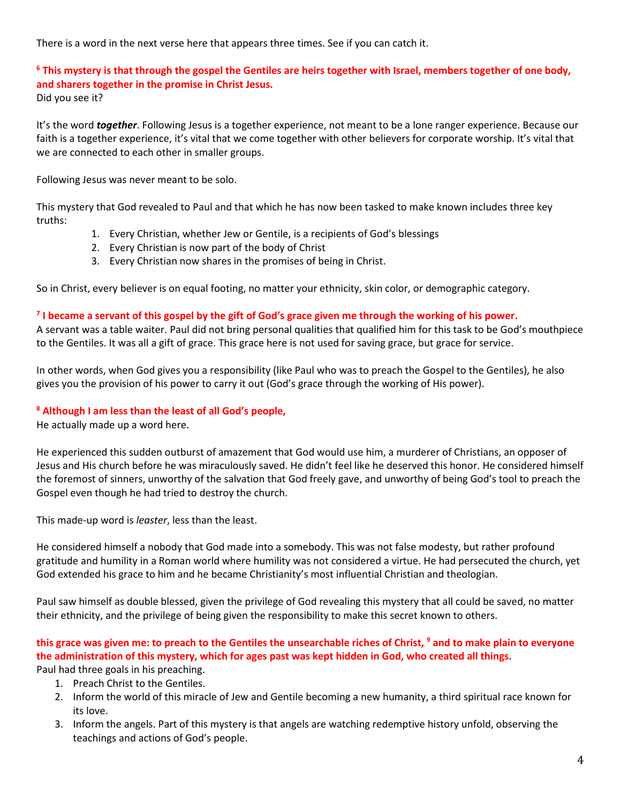There is a word in the next verse here that appears three times. See if you can catch it.

## **<sup>6</sup> This mystery is that through the gospel the Gentiles are heirs together with Israel, members together of one body, and sharers together in the promise in Christ Jesus.** Did you see it?

It's the word *together*. Following Jesus is a together experience, not meant to be a lone ranger experience. Because our faith is a together experience, it's vital that we come together with other believers for corporate worship. It's vital that we are connected to each other in smaller groups.

Following Jesus was never meant to be solo.

This mystery that God revealed to Paul and that which he has now been tasked to make known includes three key truths:

- 1. Every Christian, whether Jew or Gentile, is a recipients of God's blessings
- 2. Every Christian is now part of the body of Christ
- 3. Every Christian now shares in the promises of being in Christ.

So in Christ, every believer is on equal footing, no matter your ethnicity, skin color, or demographic category.

## **7 I became a servant of this gospel by the gift of God's grace given me through the working of his power.**

A servant was a table waiter. Paul did not bring personal qualities that qualified him for this task to be God's mouthpiece to the Gentiles. It was all a gift of grace. This grace here is not used for saving grace, but grace for service.

In other words, when God gives you a responsibility (like Paul who was to preach the Gospel to the Gentiles), he also gives you the provision of his power to carry it out (God's grace through the working of His power).

## **<sup>8</sup> Although I am less than the least of all God's people,**

He actually made up a word here.

He experienced this sudden outburst of amazement that God would use him, a murderer of Christians, an opposer of Jesus and His church before he was miraculously saved. He didn't feel like he deserved this honor. He considered himself the foremost of sinners, unworthy of the salvation that God freely gave, and unworthy of being God's tool to preach the Gospel even though he had tried to destroy the church.

This made-up word is *leaster*, less than the least.

He considered himself a nobody that God made into a somebody. This was not false modesty, but rather profound gratitude and humility in a Roman world where humility was not considered a virtue. He had persecuted the church, yet God extended his grace to him and he became Christianity's most influential Christian and theologian.

Paul saw himself as double blessed, given the privilege of God revealing this mystery that all could be saved, no matter their ethnicity, and the privilege of being given the responsibility to make this secret known to others.

## **this grace was given me: to preach to the Gentiles the unsearchable riches of Christ, <sup>9</sup> and to make plain to everyone the administration of this mystery, which for ages past was kept hidden in God, who created all things.**  Paul had three goals in his preaching.

- 1. Preach Christ to the Gentiles.
- 2. Inform the world of this miracle of Jew and Gentile becoming a new humanity, a third spiritual race known for its love.
- 3. Inform the angels. Part of this mystery is that angels are watching redemptive history unfold, observing the teachings and actions of God's people.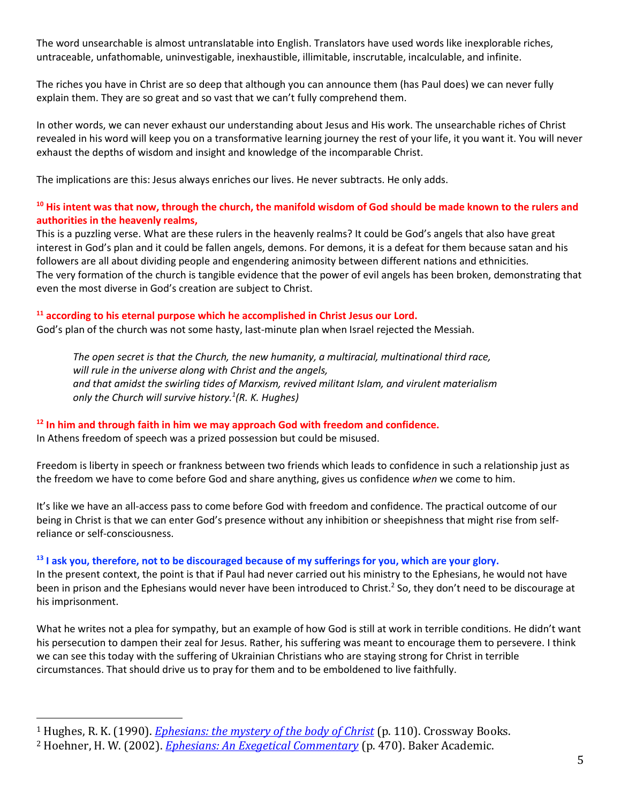The word unsearchable is almost untranslatable into English. Translators have used words like inexplorable riches, untraceable, unfathomable, uninvestigable, inexhaustible, illimitable, inscrutable, incalculable, and infinite.

The riches you have in Christ are so deep that although you can announce them (has Paul does) we can never fully explain them. They are so great and so vast that we can't fully comprehend them.

In other words, we can never exhaust our understanding about Jesus and His work. The unsearchable riches of Christ revealed in his word will keep you on a transformative learning journey the rest of your life, it you want it. You will never exhaust the depths of wisdom and insight and knowledge of the incomparable Christ.

The implications are this: Jesus always enriches our lives. He never subtracts. He only adds.

## **<sup>10</sup> His intent was that now, through the church, the manifold wisdom of God should be made known to the rulers and authorities in the heavenly realms,**

This is a puzzling verse. What are these rulers in the heavenly realms? It could be God's angels that also have great interest in God's plan and it could be fallen angels, demons. For demons, it is a defeat for them because satan and his followers are all about dividing people and engendering animosity between different nations and ethnicities. The very formation of the church is tangible evidence that the power of evil angels has been broken, demonstrating that even the most diverse in God's creation are subject to Christ.

## **<sup>11</sup> according to his eternal purpose which he accomplished in Christ Jesus our Lord.**

God's plan of the church was not some hasty, last-minute plan when Israel rejected the Messiah.

*The open secret is that the Church, the new humanity, a multiracial, multinational third race, will rule in the universe along with Christ and the angels, and that amidst the swirling tides of Marxism, revived militant Islam, and virulent materialism only the Church will survive history.<sup>1</sup> (R. K. Hughes)*

## **<sup>12</sup> In him and through faith in him we may approach God with freedom and confidence.**

In Athens freedom of speech was a prized possession but could be misused.

Freedom is liberty in speech or frankness between two friends which leads to confidence in such a relationship just as the freedom we have to come before God and share anything, gives us confidence *when* we come to him.

It's like we have an all-access pass to come before God with freedom and confidence. The practical outcome of our being in Christ is that we can enter God's presence without any inhibition or sheepishness that might rise from selfreliance or self-consciousness.

## **<sup>13</sup> I ask you, therefore, not to be discouraged because of my sufferings for you, which are your glory.**

In the present context, the point is that if Paul had never carried out his ministry to the Ephesians, he would not have been in prison and the Ephesians would never have been introduced to Christ.<sup>2</sup> So, they don't need to be discourage at his imprisonment.

What he writes not a plea for sympathy, but an example of how God is still at work in terrible conditions. He didn't want his persecution to dampen their zeal for Jesus. Rather, his suffering was meant to encourage them to persevere. I think we can see this today with the suffering of Ukrainian Christians who are staying strong for Christ in terrible circumstances. That should drive us to pray for them and to be emboldened to live faithfully.

<sup>1</sup> Hughes, R. K. (1990). *[Ephesians: the mystery of the body of Christ](https://ref.ly/logosres/prwdeph?ref=Bible.Eph3.7&off=9369&ctx=central+to+history.+~The+open+secret+is+t)* (p. 110). Crossway Books.

<sup>2</sup> Hoehner, H. W. (2002). *[Ephesians: An Exegetical Commentary](https://ref.ly/logosres/phsnsnxgtclcmm?ref=Bible.Eph3.13&off=5980&ctx=creature+in+Christ.+~In+the+present+conte)* (p. 470). Baker Academic.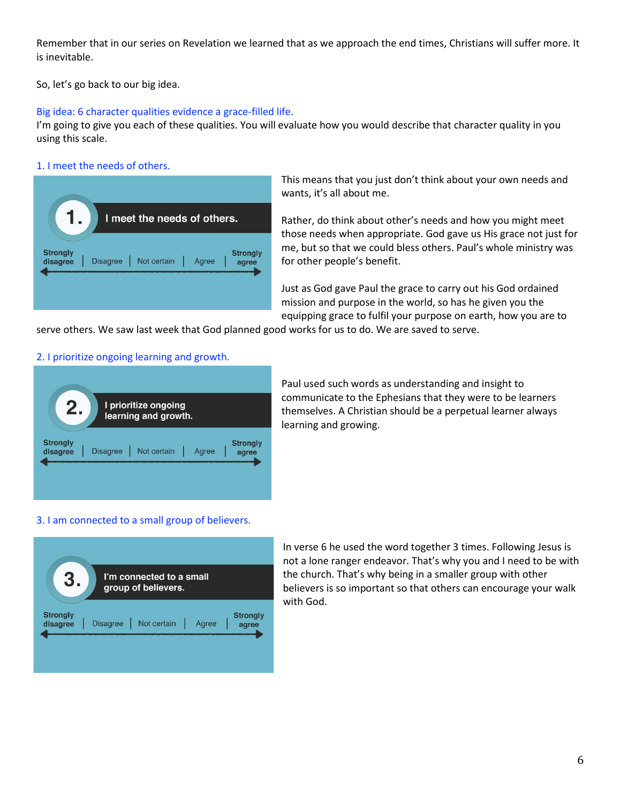Remember that in our series on Revelation we learned that as we approach the end times, Christians will suffer more. It is inevitable.

So, let's go back to our big idea.

## Big idea: 6 character qualities evidence a grace-filled life.

I'm going to give you each of these qualities. You will evaluate how you would describe that character quality in you using this scale.

## 1. I meet the needs of others.



This means that you just don't think about your own needs and wants, it's all about me.

Rather, do think about other's needs and how you might meet those needs when appropriate. God gave us His grace not just for me, but so that we could bless others. Paul's whole ministry was for other people's benefit.

Just as God gave Paul the grace to carry out his God ordained mission and purpose in the world, so has he given you the equipping grace to fulfil your purpose on earth, how you are to

serve others. We saw last week that God planned good works for us to do. We are saved to serve.

## 2. I prioritize ongoing learning and growth.



Paul used such words as understanding and insight to communicate to the Ephesians that they were to be learners themselves. A Christian should be a perpetual learner always learning and growing.

## 3. I am connected to a small group of believers.



In verse 6 he used the word together 3 times. Following Jesus is not a lone ranger endeavor. That's why you and I need to be with the church. That's why being in a smaller group with other believers is so important so that others can encourage your walk with God.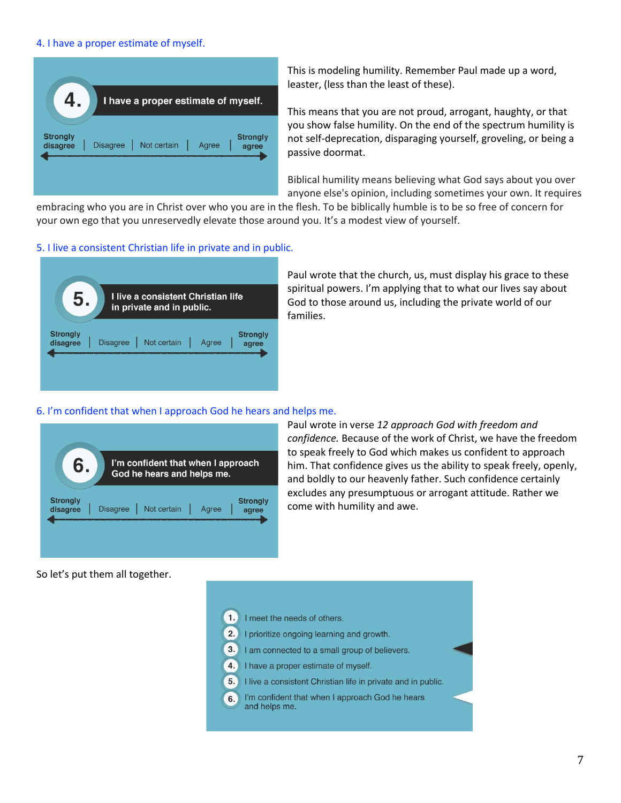## 4. I have a proper estimate of myself.



This is modeling humility. Remember Paul made up a word, leaster, (less than the least of these).

This means that you are not proud, arrogant, haughty, or that you show false humility. On the end of the spectrum humility is not self-deprecation, disparaging yourself, groveling, or being a passive doormat.

Biblical humility means believing what God says about you over anyone else's opinion, including sometimes your own. It requires

embracing who you are in Christ over who you are in the flesh. To be biblically humble is to be so free of concern for your own ego that you unreservedly elevate those around you. It's a modest view of yourself.

#### 5. I live a consistent Christian life in private and in public.

| 5                           | I live a consistent Christian life<br>in private and in public.     |
|-----------------------------|---------------------------------------------------------------------|
| <b>Strongly</b><br>disagree | <b>Strongly</b><br>Not certain<br><b>Disagree</b><br>Agree<br>agree |

Paul wrote that the church, us, must display his grace to these spiritual powers. I'm applying that to what our lives say about God to those around us, including the private world of our families.

#### 6. I'm confident that when I approach God he hears and helps me.



Paul wrote in verse *12 approach God with freedom and confidence.* Because of the work of Christ, we have the freedom to speak freely to God which makes us confident to approach him. That confidence gives us the ability to speak freely, openly, and boldly to our heavenly father. Such confidence certainly excludes any presumptuous or arrogant attitude. Rather we come with humility and awe.

So let's put them all together.